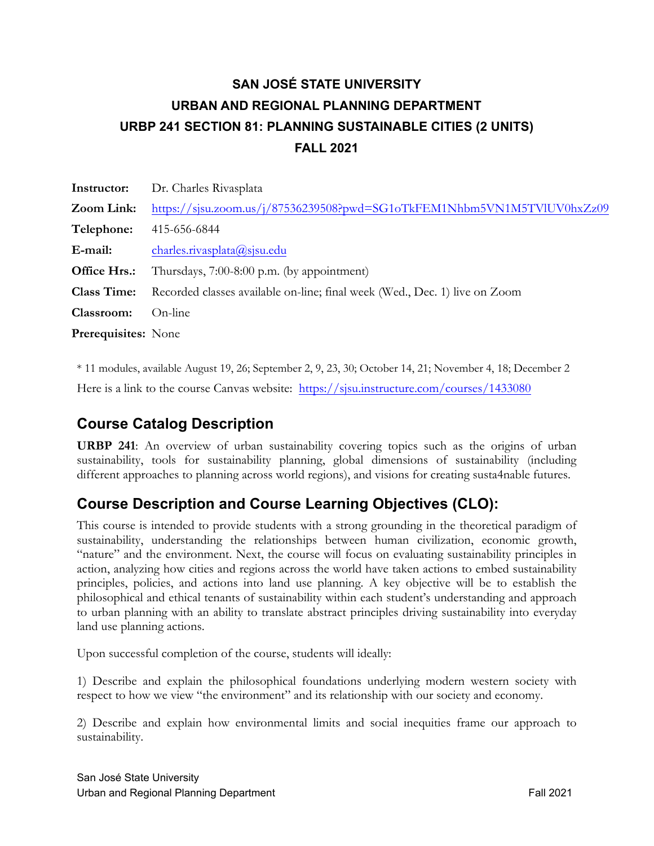# **SAN JOSÉ STATE UNIVERSITY URBAN AND REGIONAL PLANNING DEPARTMENT URBP 241 SECTION 81: PLANNING SUSTAINABLE CITIES (2 UNITS) FALL 2021**

| Instructor:                | Dr. Charles Rivasplata                                                     |
|----------------------------|----------------------------------------------------------------------------|
| Zoom Link:                 | https://sjsu.zoom.us/j/87536239508?pwd=SG1oTkFEM1Nhbm5VN1M5TVlUV0hxZz09    |
| Telephone:                 | 415-656-6844                                                               |
| E-mail:                    | charles.rivasplata@sjsu.edu                                                |
| Office Hrs.:               | Thursdays, 7:00-8:00 p.m. (by appointment)                                 |
| <b>Class Time:</b>         | Recorded classes available on-line; final week (Wed., Dec. 1) live on Zoom |
| Classroom:                 | On-line                                                                    |
| <b>Prerequisites:</b> None |                                                                            |

\* 11 modules, available August 19, 26; September 2, 9, 23, 30; October 14, 21; November 4, 18; December 2 Here is a link to the course Canvas website: <https://sjsu.instructure.com/courses/1433080>

## **Course Catalog Description**

**URBP 241**: An overview of urban sustainability covering topics such as the origins of urban sustainability, tools for sustainability planning, global dimensions of sustainability (including different approaches to planning across world regions), and visions for creating susta4nable futures.

## **Course Description and Course Learning Objectives (CLO):**

This course is intended to provide students with a strong grounding in the theoretical paradigm of sustainability, understanding the relationships between human civilization, economic growth, "nature" and the environment. Next, the course will focus on evaluating sustainability principles in action, analyzing how cities and regions across the world have taken actions to embed sustainability principles, policies, and actions into land use planning. A key objective will be to establish the philosophical and ethical tenants of sustainability within each student's understanding and approach to urban planning with an ability to translate abstract principles driving sustainability into everyday land use planning actions.

Upon successful completion of the course, students will ideally:

1) Describe and explain the philosophical foundations underlying modern western society with respect to how we view "the environment" and its relationship with our society and economy.

2) Describe and explain how environmental limits and social inequities frame our approach to sustainability.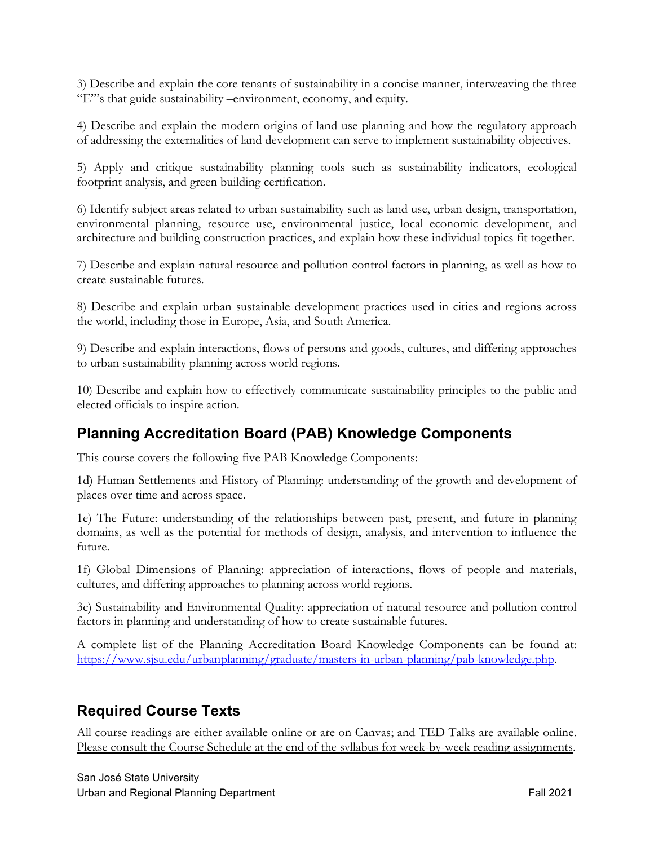3) Describe and explain the core tenants of sustainability in a concise manner, interweaving the three "E"'s that guide sustainability –environment, economy, and equity.

4) Describe and explain the modern origins of land use planning and how the regulatory approach of addressing the externalities of land development can serve to implement sustainability objectives.

5) Apply and critique sustainability planning tools such as sustainability indicators, ecological footprint analysis, and green building certification.

6) Identify subject areas related to urban sustainability such as land use, urban design, transportation, environmental planning, resource use, environmental justice, local economic development, and architecture and building construction practices, and explain how these individual topics fit together.

7) Describe and explain natural resource and pollution control factors in planning, as well as how to create sustainable futures.

8) Describe and explain urban sustainable development practices used in cities and regions across the world, including those in Europe, Asia, and South America.

9) Describe and explain interactions, flows of persons and goods, cultures, and differing approaches to urban sustainability planning across world regions.

10) Describe and explain how to effectively communicate sustainability principles to the public and elected officials to inspire action.

### **Planning Accreditation Board (PAB) Knowledge Components**

This course covers the following five PAB Knowledge Components:

1d) Human Settlements and History of Planning: understanding of the growth and development of places over time and across space.

1e) The Future: understanding of the relationships between past, present, and future in planning domains, as well as the potential for methods of design, analysis, and intervention to influence the future.

1f) Global Dimensions of Planning: appreciation of interactions, flows of people and materials, cultures, and differing approaches to planning across world regions.

3c) Sustainability and Environmental Quality: appreciation of natural resource and pollution control factors in planning and understanding of how to create sustainable futures.

A complete list of the Planning Accreditation Board Knowledge Components can be found at: <https://www.sjsu.edu/urbanplanning/graduate/masters-in-urban-planning/pab-knowledge.php>.

### **Required Course Texts**

All course readings are either available online or are on Canvas; and TED Talks are available online. Please consult the Course Schedule at the end of the syllabus for week-by-week reading assignments.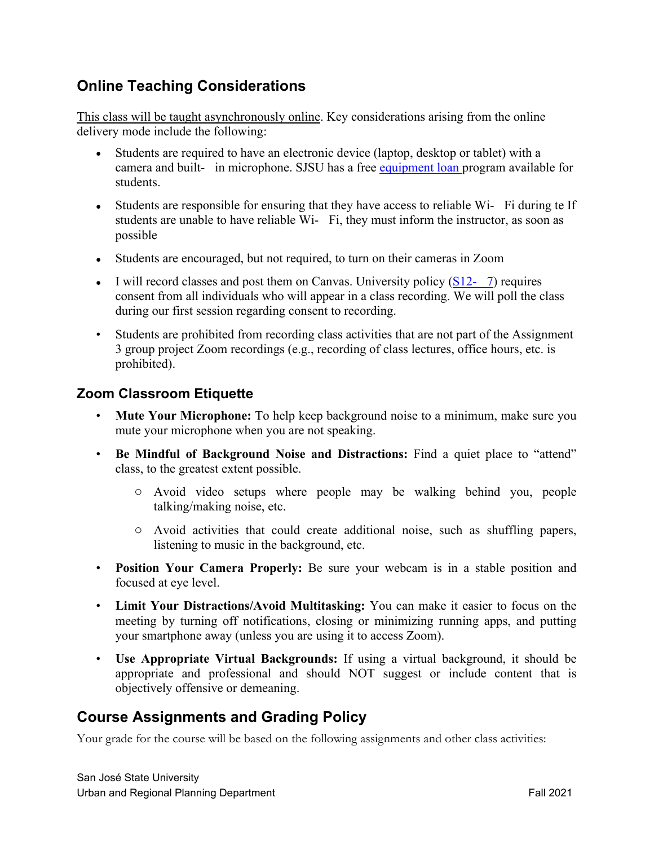### **Online Teaching Considerations**

This class will be taught asynchronously online. Key considerations arising from the online delivery mode include the following:

- Students are required to have an electronic device (laptop, desktop or tablet) with a camera and built- in microphone. SJSU has a free equipment loan program available for students.
- Students are responsible for ensuring that they have access to reliable Wi- Fi during te If students are unable to have reliable Wi- Fi, they must inform the instructor, as soon as possible
- Students are encouraged, but not required, to turn on their cameras in Zoom
- I will record classes and post them on Canvas. University policy  $(S12- 7)$  requires consent from all individuals who will appear in a class recording. We will poll the class during our first session regarding consent to recording.
- Students are prohibited from recording class activities that are not part of the Assignment 3 group project Zoom recordings (e.g., recording of class lectures, office hours, etc. is prohibited).

#### **Zoom Classroom Etiquette**

- **Mute Your Microphone:** To help keep background noise to a minimum, make sure you mute your microphone when you are not speaking.
- **Be Mindful of Background Noise and Distractions:** Find a quiet place to "attend" class, to the greatest extent possible.
	- o Avoid video setups where people may be walking behind you, people talking/making noise, etc.
	- o Avoid activities that could create additional noise, such as shuffling papers, listening to music in the background, etc.
- **Position Your Camera Properly:** Be sure your webcam is in a stable position and focused at eye level.
- **Limit Your Distractions/Avoid Multitasking:** You can make it easier to focus on the meeting by turning off notifications, closing or minimizing running apps, and putting your smartphone away (unless you are using it to access Zoom).
- **Use Appropriate Virtual Backgrounds:** If using a virtual background, it should be appropriate and professional and should NOT suggest or include content that is objectively offensive or demeaning.

### **Course Assignments and Grading Policy**

Your grade for the course will be based on the following assignments and other class activities: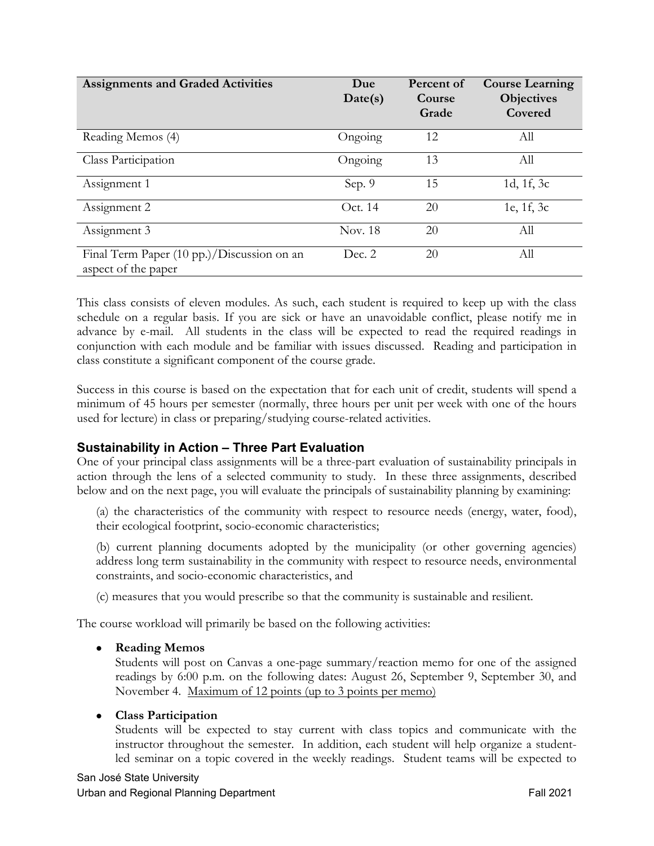| <b>Assignments and Graded Activities</b>                          | Due<br>Date(s) | Percent of<br>Course<br>Grade | <b>Course Learning</b><br><b>Objectives</b><br>Covered |
|-------------------------------------------------------------------|----------------|-------------------------------|--------------------------------------------------------|
| Reading Memos (4)                                                 | Ongoing        | 12                            | All                                                    |
| Class Participation                                               | Ongoing        | 13                            | All                                                    |
| Assignment 1                                                      | Sep. 9         | 15                            | 1d, 1f, 3c                                             |
| Assignment 2                                                      | Oct. 14        | 20                            | 1e, 1f, 3c                                             |
| Assignment 3                                                      | Nov. 18        | 20                            | All                                                    |
| Final Term Paper (10 pp.)/Discussion on an<br>aspect of the paper | Dec. 2         | 20                            | All                                                    |

This class consists of eleven modules. As such, each student is required to keep up with the class schedule on a regular basis. If you are sick or have an unavoidable conflict, please notify me in advance by e-mail. All students in the class will be expected to read the required readings in conjunction with each module and be familiar with issues discussed. Reading and participation in class constitute a significant component of the course grade.

Success in this course is based on the expectation that for each unit of credit, students will spend a minimum of 45 hours per semester (normally, three hours per unit per week with one of the hours used for lecture) in class or preparing/studying course-related activities.

### **Sustainability in Action – Three Part Evaluation**

One of your principal class assignments will be a three-part evaluation of sustainability principals in action through the lens of a selected community to study. In these three assignments, described below and on the next page, you will evaluate the principals of sustainability planning by examining:

(a) the characteristics of the community with respect to resource needs (energy, water, food), their ecological footprint, socio-economic characteristics;

(b) current planning documents adopted by the municipality (or other governing agencies) address long term sustainability in the community with respect to resource needs, environmental constraints, and socio-economic characteristics, and

(c) measures that you would prescribe so that the community is sustainable and resilient.

The course workload will primarily be based on the following activities:

**Reading Memos**

Students will post on Canvas a one-page summary/reaction memo for one of the assigned readings by 6:00 p.m. on the following dates: August 26, September 9, September 30, and November 4. Maximum of 12 points (up to 3 points per memo)

#### **Class Participation**

Students will be expected to stay current with class topics and communicate with the instructor throughout the semester. In addition, each student will help organize a studentled seminar on a topic covered in the weekly readings. Student teams will be expected to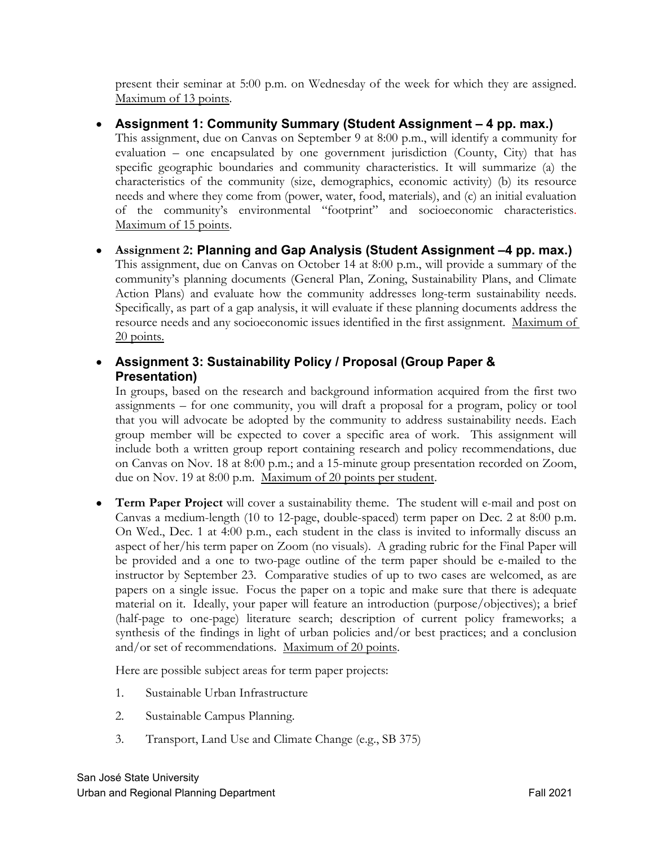present their seminar at 5:00 p.m. on Wednesday of the week for which they are assigned. Maximum of 13 points.

#### **Assignment 1: Community Summary (Student Assignment – 4 pp. max.)**

This assignment, due on Canvas on September 9 at 8:00 p.m., will identify a community for evaluation – one encapsulated by one government jurisdiction (County, City) that has specific geographic boundaries and community characteristics. It will summarize (a) the characteristics of the community (size, demographics, economic activity) (b) its resource needs and where they come from (power, water, food, materials), and (c) an initial evaluation of the community's environmental "footprint" and socioeconomic characteristics. Maximum of 15 points.

 **Assignment 2: Planning and Gap Analysis (Student Assignment –4 pp. max.)** This assignment, due on Canvas on October 14 at 8:00 p.m., will provide a summary of the community's planning documents (General Plan, Zoning, Sustainability Plans, and Climate Action Plans) and evaluate how the community addresses long-term sustainability needs. Specifically, as part of a gap analysis, it will evaluate if these planning documents address the resource needs and any socioeconomic issues identified in the first assignment. Maximum of 20 points.

### **Assignment 3: Sustainability Policy / Proposal (Group Paper & Presentation)**

In groups, based on the research and background information acquired from the first two assignments – for one community, you will draft a proposal for a program, policy or tool that you will advocate be adopted by the community to address sustainability needs. Each group member will be expected to cover a specific area of work. This assignment will include both a written group report containing research and policy recommendations, due on Canvas on Nov. 18 at 8:00 p.m.; and a 15-minute group presentation recorded on Zoom, due on Nov. 19 at 8:00 p.m. Maximum of 20 points per student.

 **Term Paper Project** will cover a sustainability theme. The student will e-mail and post on Canvas a medium-length (10 to 12-page, double-spaced) term paper on Dec. 2 at 8:00 p.m. On Wed., Dec. 1 at 4:00 p.m., each student in the class is invited to informally discuss an aspect of her/his term paper on Zoom (no visuals). A grading rubric for the Final Paper will be provided and a one to two-page outline of the term paper should be e-mailed to the instructor by September 23. Comparative studies of up to two cases are welcomed, as are papers on a single issue. Focus the paper on a topic and make sure that there is adequate material on it. Ideally, your paper will feature an introduction (purpose/objectives); a brief (half-page to one-page) literature search; description of current policy frameworks; a synthesis of the findings in light of urban policies and/or best practices; and a conclusion and/or set of recommendations. Maximum of 20 points.

Here are possible subject areas for term paper projects:

- 1. Sustainable Urban Infrastructure
- 2. Sustainable Campus Planning.
- 3. Transport, Land Use and Climate Change (e.g., SB 375)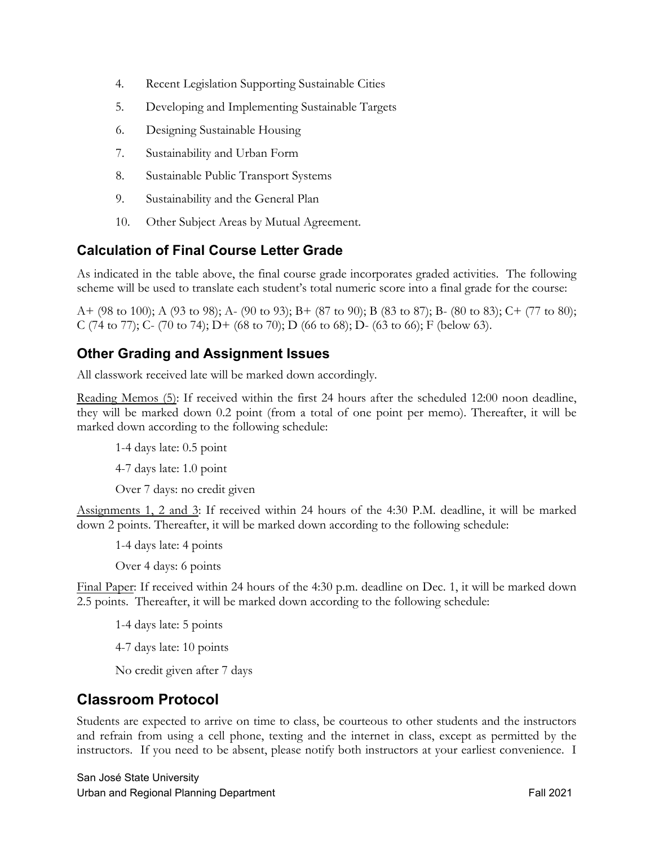- 4. Recent Legislation Supporting Sustainable Cities
- 5. Developing and Implementing Sustainable Targets
- 6. Designing Sustainable Housing
- 7. Sustainability and Urban Form
- 8. Sustainable Public Transport Systems
- 9. Sustainability and the General Plan
- 10. Other Subject Areas by Mutual Agreement.

### **Calculation of Final Course Letter Grade**

As indicated in the table above, the final course grade incorporates graded activities. The following scheme will be used to translate each student's total numeric score into a final grade for the course:

A+ (98 to 100); A (93 to 98); A- (90 to 93); B+ (87 to 90); B (83 to 87); B- (80 to 83); C+ (77 to 80); C (74 to 77); C- (70 to 74); D+ (68 to 70); D (66 to 68); D- (63 to 66); F (below 63).

### **Other Grading and Assignment Issues**

All classwork received late will be marked down accordingly.

Reading Memos (5): If received within the first 24 hours after the scheduled 12:00 noon deadline, they will be marked down 0.2 point (from a total of one point per memo). Thereafter, it will be marked down according to the following schedule:

1-4 days late: 0.5 point

4-7 days late: 1.0 point

Over 7 days: no credit given

Assignments 1, 2 and 3: If received within 24 hours of the 4:30 P.M. deadline, it will be marked down 2 points. Thereafter, it will be marked down according to the following schedule:

1-4 days late: 4 points

Over 4 days: 6 points

Final Paper: If received within 24 hours of the 4:30 p.m. deadline on Dec. 1, it will be marked down 2.5 points. Thereafter, it will be marked down according to the following schedule:

1-4 days late: 5 points

4-7 days late: 10 points

No credit given after 7 days

### **Classroom Protocol**

Students are expected to arrive on time to class, be courteous to other students and the instructors and refrain from using a cell phone, texting and the internet in class, except as permitted by the instructors. If you need to be absent, please notify both instructors at your earliest convenience. I

San José State University Urban and Regional Planning Department **Fall 2021 Fall 2021**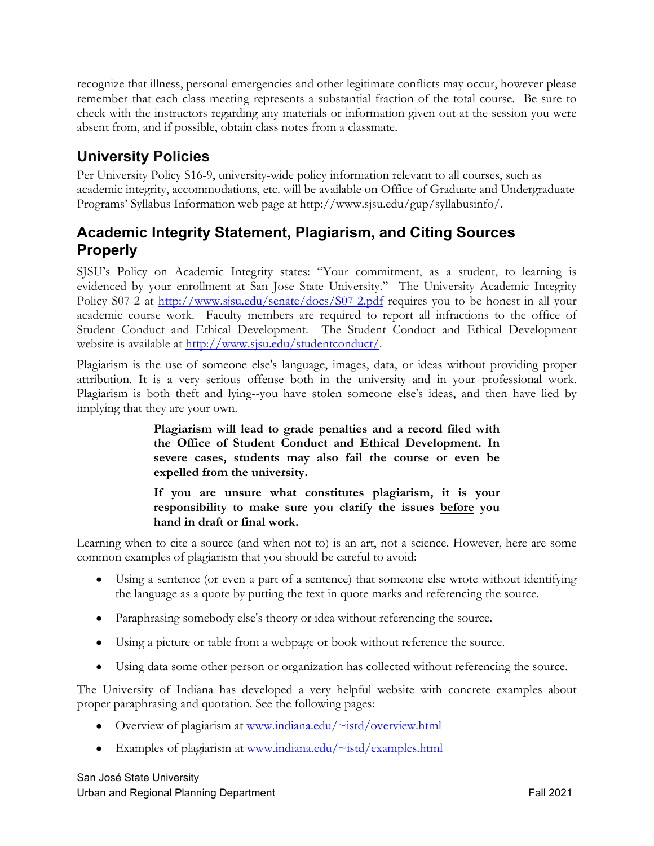recognize that illness, personal emergencies and other legitimate conflicts may occur, however please remember that each class meeting represents a substantial fraction of the total course. Be sure to check with the instructors regarding any materials or information given out at the session you were absent from, and if possible, obtain class notes from a classmate.

### **University Policies**

Per University Policy S16-9, university-wide policy information relevant to all courses, such as academic integrity, accommodations, etc. will be available on Office of Graduate and Undergraduate Programs' Syllabus Information web page at <http://www.sjsu.edu/gup/syllabusinfo>/.

### **Academic Integrity Statement, Plagiarism, and Citing Sources Properly**

SJSU's Policy on Academic Integrity states: "Your commitment, as a student, to learning is evidenced by your enrollment at San Jose State University." The University Academic Integrity Policy S07-2 at <http://www.sjsu.edu/senate/docs/S07-2.pdf> requires you to be honest in all your academic course work. Faculty members are required to report all infractions to the office of Student Conduct and Ethical Development. The Student Conduct and Ethical Development website is available at <http://www.sjsu.edu/studentconduct>/.

Plagiarism is the use of someone else's language, images, data, or ideas without providing proper attribution. It is a very serious offense both in the university and in your professional work. Plagiarism is both theft and lying--you have stolen someone else's ideas, and then have lied by implying that they are your own.

> **Plagiarism will lead to grade penalties and a record filed with the Office of Student Conduct and Ethical Development. In severe cases, students may also fail the course or even be expelled from the university.**

> **If you are unsure what constitutes plagiarism, it is your responsibility to make sure you clarify the issues before you hand in draft or final work.**

Learning when to cite a source (and when not to) is an art, not a science. However, here are some common examples of plagiarism that you should be careful to avoid:

- Using a sentence (or even a part of a sentence) that someone else wrote without identifying the language as a quote by putting the text in quote marks and referencing the source.
- Paraphrasing somebody else's theory or idea without referencing the source.
- Using a picture or table from a webpage or book without reference the source.
- Using data some other person or organization has collected without referencing the source.

The University of Indiana has developed a very helpful website with concrete examples about proper paraphrasing and quotation. See the following pages:

- Overview of plagiarism at <www.indiana.edu/~istd/overview.html>
- Examples of plagiarism at www.indiana.edu/ $\sim$ istd/examples.html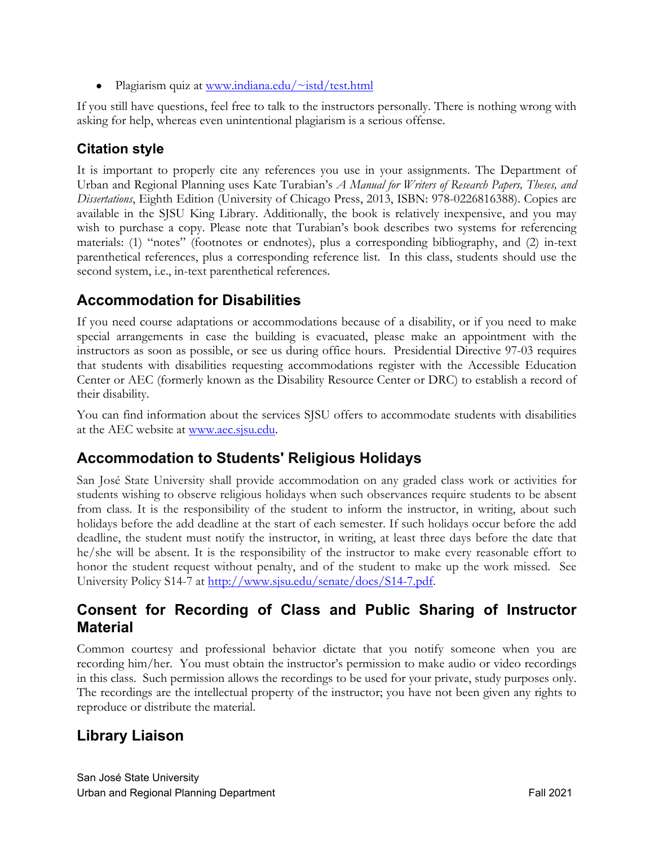• Plagiarism quiz at www.indiana.edu/ $\sim$ istd/test.html

If you still have questions, feel free to talk to the instructors personally. There is nothing wrong with asking for help, whereas even unintentional plagiarism is a serious offense.

### **Citation style**

It is important to properly cite any references you use in your assignments. The Department of Urban and Regional Planning uses Kate Turabian's *A Manual for Writers of Research Papers, Theses, and Dissertations*, Eighth Edition (University of Chicago Press, 2013, ISBN: 978-0226816388). Copies are available in the SJSU King Library. Additionally, the book is relatively inexpensive, and you may wish to purchase a copy. Please note that Turabian's book describes two systems for referencing materials: (1) "notes" (footnotes or endnotes), plus a corresponding bibliography, and (2) in-text parenthetical references, plus a corresponding reference list. In this class, students should use the second system, i.e., in-text parenthetical references.

## **Accommodation for Disabilities**

If you need course adaptations or accommodations because of a disability, or if you need to make special arrangements in case the building is evacuated, please make an appointment with the instructors as soon as possible, or see us during office hours. Presidential Directive 97-03 requires that students with disabilities requesting accommodations register with the Accessible Education Center or AEC (formerly known as the Disability Resource Center or DRC) to establish a record of their disability.

You can find information about the services SJSU offers to accommodate students with disabilities at the AEC website at [www.aec.sjsu.edu.](www.aec.sjsu.edu)

### **Accommodation to Students' Religious Holidays**

San José State University shall provide accommodation on any graded class work or activities for students wishing to observe religious holidays when such observances require students to be absent from class. It is the responsibility of the student to inform the instructor, in writing, about such holidays before the add deadline at the start of each semester. If such holidays occur before the add deadline, the student must notify the instructor, in writing, at least three days before the date that he/she will be absent. It is the responsibility of the instructor to make every reasonable effort to honor the student request without penalty, and of the student to make up the work missed. See University Policy S14-7 at [http://www.sjsu.edu/senate/docs/S14-7.pdf.](http://www.sjsu.edu/senate/docs/S14-7.pdf)

### **Consent for Recording of Class and Public Sharing of Instructor Material**

Common courtesy and professional behavior dictate that you notify someone when you are recording him/her. You must obtain the instructor's permission to make audio or video recordings in this class. Such permission allows the recordings to be used for your private, study purposes only. The recordings are the intellectual property of the instructor; you have not been given any rights to reproduce or distribute the material.

## **Library Liaison**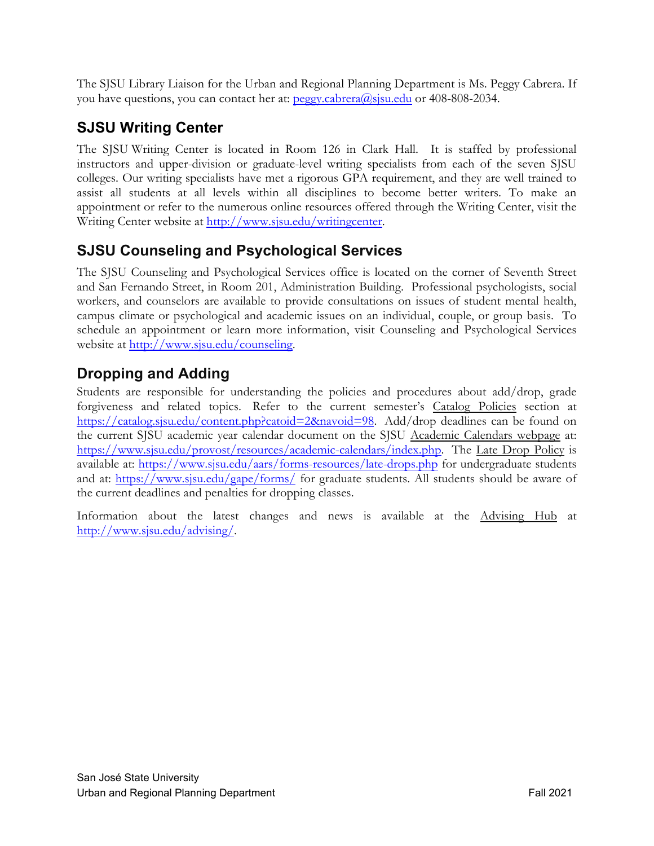The SJSU Library Liaison for the Urban and Regional Planning Department is Ms. Peggy Cabrera. If you have questions, you can contact her at: [peggy.cabrera@sjsu.edu](mailto:peggy.cabrera@sjsu.edu) or 408-808-2034.

# **SJSU Writing Center**

The SJSU Writing Center is located in Room 126 in Clark Hall. It is staffed by professional instructors and upper-division or graduate-level writing specialists from each of the seven SJSU colleges. Our writing specialists have met a rigorous GPA requirement, and they are well trained to assist all students at all levels within all disciplines to become better writers. To make an appointment or refer to the numerous online resources offered through the Writing Center, visit the Writing Center website at [http://www.sjsu.edu/writingcenter.](http://www.sjsu.edu/writingcenter)

## **SJSU Counseling and Psychological Services**

The SJSU Counseling and Psychological Services office is located on the corner of Seventh Street and San Fernando Street, in Room 201, Administration Building. Professional psychologists, social workers, and counselors are available to provide consultations on issues of student mental health, campus climate or psychological and academic issues on an individual, couple, or group basis. To schedule an appointment or learn more information, visit Counseling and Psychological Services website at [http://www.sjsu.edu/counseling.](http://www.sjsu.edu/counseling)

## **Dropping and Adding**

Students are responsible for understanding the policies and procedures about add/drop, grade forgiveness and related topics. Refer to the current semester's Catalog Policies section at <https://catalog.sjsu.edu/content.php?catoid=2&navoid=98>. Add/drop deadlines can be found on the current SJSU academic year calendar document on the SJSU Academic Calendars webpage at: <https://www.sjsu.edu/provost/resources/academic-calendars/index.php>. The Late Drop Policy is available at: <https://www.sjsu.edu/aars/forms-resources/late-drops.php> for undergraduate students and at: [https://www.sjsu.edu/gape/forms/](https://www.sjsu.edu/gape/forms) for graduate students. All students should be aware of the current deadlines and penalties for dropping classes.

Information about the latest changes and news is available at the Advising Hub at <http://www.sjsu.edu/advising>/.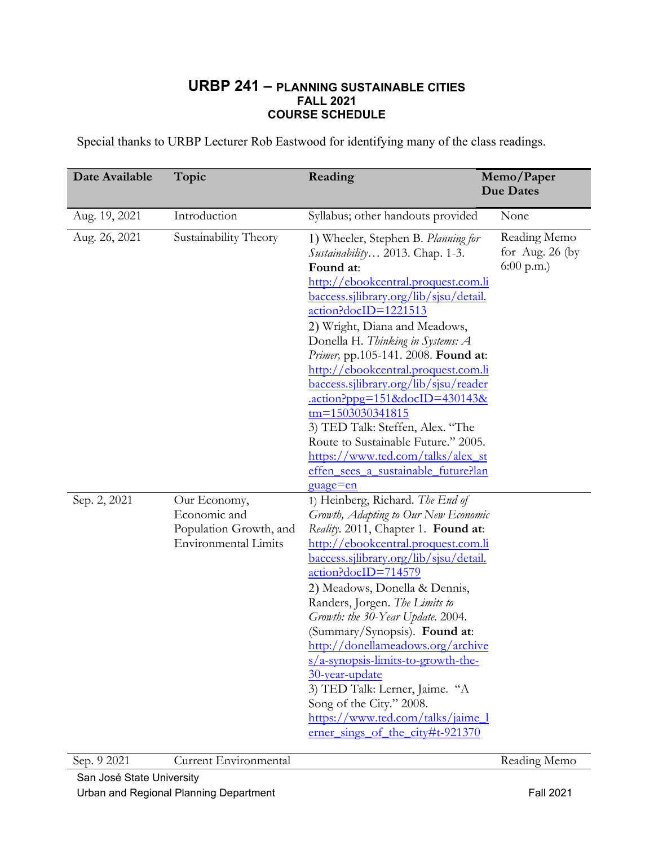#### **URBP 241 – PLANNING SUSTAINABLE CITIES FALL 2021 COURSE SCHEDULE**

Special thanks to URBP Lecturer Rob Eastwood for identifying many of the class readings.

| Date Available | Topic                                                                                 | Reading                                                                                                                                                                                                                                                                                                                                                                                                                                                                                                                                                                                                                             | Memo/Paper<br><b>Due Dates</b>                    |
|----------------|---------------------------------------------------------------------------------------|-------------------------------------------------------------------------------------------------------------------------------------------------------------------------------------------------------------------------------------------------------------------------------------------------------------------------------------------------------------------------------------------------------------------------------------------------------------------------------------------------------------------------------------------------------------------------------------------------------------------------------------|---------------------------------------------------|
| Aug. 19, 2021  | Introduction                                                                          | Syllabus; other handouts provided                                                                                                                                                                                                                                                                                                                                                                                                                                                                                                                                                                                                   | None                                              |
| Aug. 26, 2021  | Sustainability Theory                                                                 | 1) Wheeler, Stephen B. Planning for<br>Sustainability 2013. Chap. 1-3.<br>Found at:<br>http://ebookcentral.proquest.com.li<br>baccess.sjlibrary.org/lib/sjsu/detail.<br>action?docID=1221513<br>2) Wright, Diana and Meadows,<br>Donella H. Thinking in Systems: A<br>Primer, pp.105-141. 2008. Found at:<br>http://ebookcentral.proquest.com.li<br><u>baccess.sjlibrary.org/lib/sjsu/reader</u><br>.action?ppg=151&docID=430143&<br>$tm = 1503030341815$<br>3) TED Talk: Steffen, Alex. "The<br>Route to Sustainable Future." 2005.<br>https://www.ted.com/talks/alex_st<br>effen sees a sustainable future?lan<br><u>guage=en</u> | Reading Memo<br>for Aug. $26$ (by<br>$6:00$ p.m.) |
| Sep. 2, 2021   | Our Economy,<br>Economic and<br>Population Growth, and<br><b>Environmental Limits</b> | 1) Heinberg, Richard. The End of<br>Growth, Adapting to Our New Economic<br>Reality. 2011, Chapter 1. Found at:<br>http://ebookcentral.proquest.com.li<br><u>baccess.sjlibrary.org/lib/sjsu/detail.</u><br>action?docID=714579<br>2) Meadows, Donella & Dennis,<br>Randers, Jorgen. The Limits to<br>Growth: the 30-Year Update. 2004.<br>(Summary/Synopsis). Found at:<br>http://donellameadows.org/archive<br>$s/a$ -synopsis-limits-to-growth-the-<br>30-year-update<br>3) TED Talk: Lerner, Jaime. "A<br>Song of the City." 2008.<br>https://www.ted.com/talks/jaime_l<br>erner_sings_of_the_city#t-921370                      |                                                   |

Sep. 9 2021 Current Environmental Reading Memo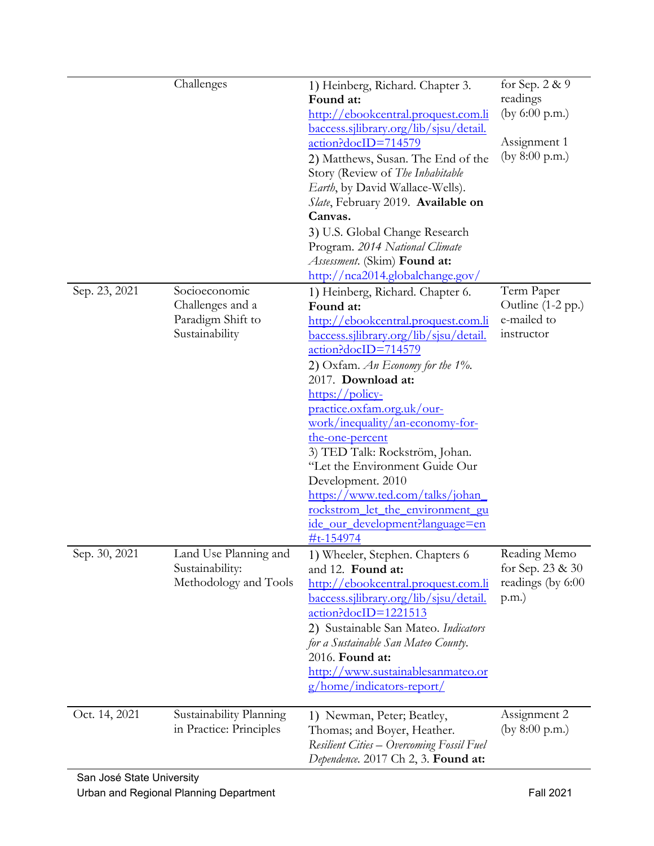|                                            | Challenges                                                               | 1) Heinberg, Richard. Chapter 3.<br>Found at:<br>http://ebookcentral.proquest.com.li<br>baccess.sjlibrary.org/lib/sjsu/detail.<br>action?docID=714579<br>2) Matthews, Susan. The End of the<br>Story (Review of The Inhabitable<br>Earth, by David Wallace-Wells).<br>Slate, February 2019. Available on<br>Canvas.<br>3) U.S. Global Change Research<br>Program. 2014 National Climate<br>Assessment. (Skim) Found at:<br>http://nca2014.globalchange.gov/                                                                                                                       | for Sep. 2 & 9<br>readings<br>(by $6:00$ p.m.)<br>Assignment 1<br>(by $8:00$ p.m.) |
|--------------------------------------------|--------------------------------------------------------------------------|-----------------------------------------------------------------------------------------------------------------------------------------------------------------------------------------------------------------------------------------------------------------------------------------------------------------------------------------------------------------------------------------------------------------------------------------------------------------------------------------------------------------------------------------------------------------------------------|------------------------------------------------------------------------------------|
| Sep. 23, 2021                              | Socioeconomic<br>Challenges and a<br>Paradigm Shift to<br>Sustainability | 1) Heinberg, Richard. Chapter 6.<br>Found at:<br>http://ebookcentral.proquest.com.li<br>baccess.sjlibrary.org/lib/sjsu/detail.<br>action?docID=714579<br>2) Oxfam. An Economy for the $1\%$ .<br>2017. Download at:<br>$\frac{\text{https://policy-}}{\text{http://policy-}}$<br>practice.oxfam.org.uk/our-<br>work/inequality/an-economy-for-<br>the-one-percent<br>3) TED Talk: Rockström, Johan.<br>"Let the Environment Guide Our<br>Development. 2010<br>https://www.ted.com/talks/johan<br>rockstrom_let_the_environment_gu<br>ide_our_development?language=en<br>#t-154974 | Term Paper<br>Outline (1-2 pp.)<br>e-mailed to<br>instructor                       |
| Sep. 30, 2021                              | Land Use Planning and<br>Sustainability:<br>Methodology and Tools        | 1) Wheeler, Stephen. Chapters 6<br>and 12. Found at:<br>http://ebookcentral.proquest.com.li<br><u>baccess.sjlibrary.org/lib/sjsu/detail.</u><br>action?docID=1221513<br>2) Sustainable San Mateo. Indicators<br>for a Sustainable San Mateo County.<br>2016. Found at:<br>http://www.sustainablesanmateo.or<br>g/home/indicators-report/                                                                                                                                                                                                                                          | Reading Memo<br>for Sep. 23 & 30<br>readings (by 6:00<br>(p.m.)                    |
| Oct. 14, 2021<br>San José State University | Sustainability Planning<br>in Practice: Principles                       | 1) Newman, Peter; Beatley,<br>Thomas; and Boyer, Heather.<br>Resilient Cities - Overcoming Fossil Fuel<br>Dependence. 2017 Ch 2, 3. Found at:                                                                                                                                                                                                                                                                                                                                                                                                                                     | Assignment 2<br>(by $8:00$ p.m.)                                                   |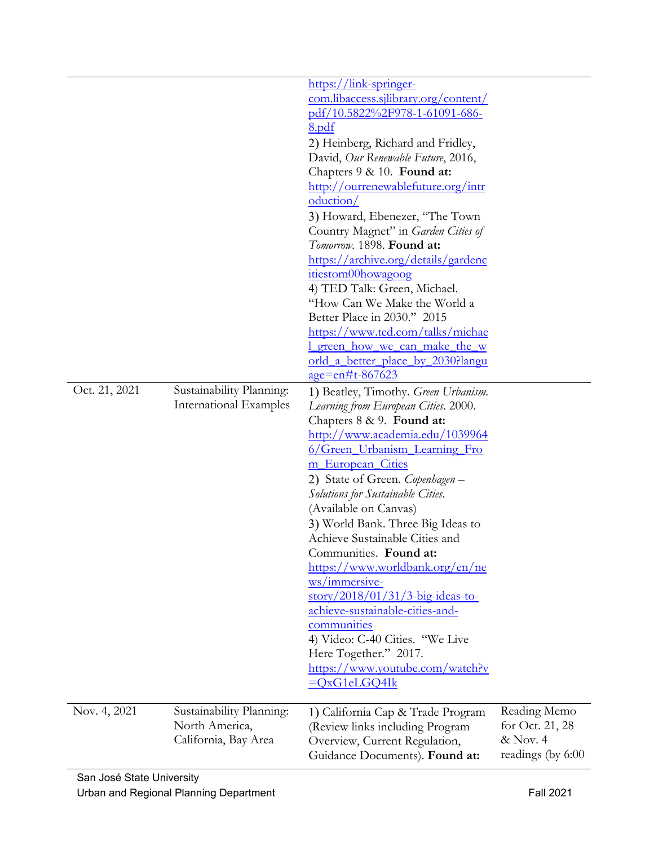|               |                                                    | com.libaccess.sjlibrary.org/content/                                |                   |
|---------------|----------------------------------------------------|---------------------------------------------------------------------|-------------------|
|               |                                                    | pdf/10.5822%2F978-1-61091-686-<br>8.pdf                             |                   |
|               |                                                    | 2) Heinberg, Richard and Fridley,                                   |                   |
|               |                                                    | David, Our Renewable Future, 2016,                                  |                   |
|               |                                                    | Chapters 9 & 10. Found at:                                          |                   |
|               |                                                    | http://ourrenewablefuture.org/intr                                  |                   |
|               |                                                    | oduction/                                                           |                   |
|               |                                                    | 3) Howard, Ebenezer, "The Town                                      |                   |
|               |                                                    | Country Magnet" in Garden Cities of<br>Tomorrow. 1898. Found at:    |                   |
|               |                                                    | https://archive.org/details/gardenc                                 |                   |
|               |                                                    | itiestom00howagoog                                                  |                   |
|               |                                                    | 4) TED Talk: Green, Michael.                                        |                   |
|               |                                                    | "How Can We Make the World a                                        |                   |
|               |                                                    | Better Place in 2030." 2015                                         |                   |
|               |                                                    | https://www.ted.com/talks/michae                                    |                   |
|               |                                                    | <u>l green how we can make the w</u>                                |                   |
|               |                                                    | orld_a_better_place_by_2030?langu                                   |                   |
|               |                                                    | $age=$ en#t-867623                                                  |                   |
| Oct. 21, 2021 | Sustainability Planning:<br>International Examples | 1) Beatley, Timothy. Green Urbanism.                                |                   |
|               |                                                    | Learning from European Cities. 2000.<br>Chapters 8 & 9. Found at:   |                   |
|               |                                                    | http://www.academia.edu/1039964                                     |                   |
|               |                                                    | 6/Green_Urbanism_Learning_Fro                                       |                   |
|               |                                                    | m_European_Cities                                                   |                   |
|               |                                                    | 2) State of Green. Copenhagen -                                     |                   |
|               |                                                    | Solutions for Sustainable Cities.                                   |                   |
|               |                                                    | (Available on Canvas)                                               |                   |
|               |                                                    | 3) World Bank. Three Big Ideas to                                   |                   |
|               |                                                    | Achieve Sustainable Cities and                                      |                   |
|               |                                                    | Communities. <b>Found at:</b>                                       |                   |
|               |                                                    | https://www.worldbank.org/en/ne                                     |                   |
|               |                                                    | ws/immersive-<br>$\frac{\text{story}}{2018/01/31/3}$ -big-ideas-to- |                   |
|               |                                                    | achieve-sustainable-cities-and-                                     |                   |
|               |                                                    | communities                                                         |                   |
|               |                                                    | 4) Video: C-40 Cities. "We Live                                     |                   |
|               |                                                    | Here Together." 2017.                                               |                   |
|               |                                                    | https://www.youtube.com/watch?v                                     |                   |
|               |                                                    | $=QxG1eLGQ4Ik$                                                      |                   |
| Nov. 4, 2021  | Sustainability Planning:                           | 1) California Cap & Trade Program                                   | Reading Memo      |
|               | North America,                                     | (Review links including Program                                     | for Oct. $21, 28$ |
|               | California, Bay Area                               | Overview, Current Regulation,                                       | & Nov. 4          |
|               |                                                    | Guidance Documents). Found at:                                      | readings (by 6:00 |
|               |                                                    |                                                                     |                   |